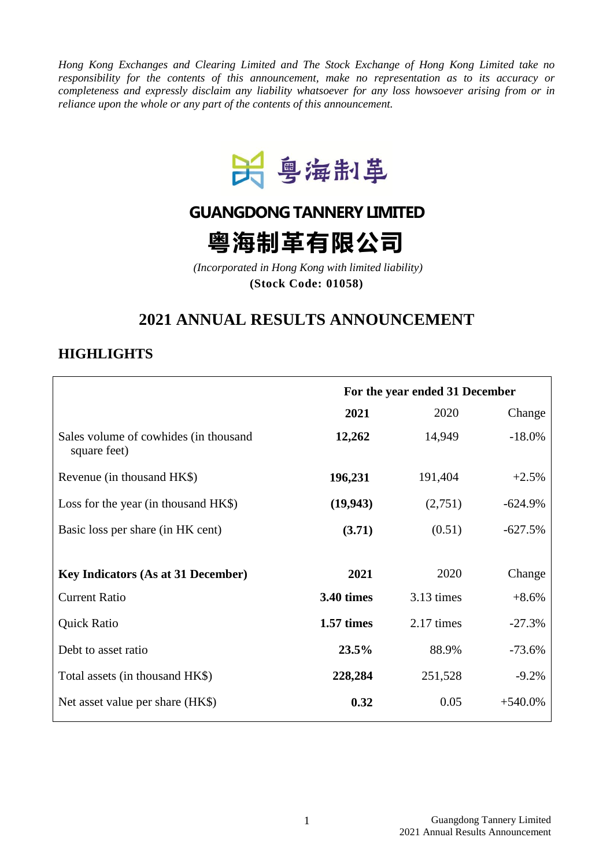*Hong Kong Exchanges and Clearing Limited and The Stock Exchange of Hong Kong Limited take no responsibility for the contents of this announcement, make no representation as to its accuracy or completeness and expressly disclaim any liability whatsoever for any loss howsoever arising from or in reliance upon the whole or any part of the contents of this announcement.*



# **GUANGDONG TANNERY LIMITED**

粤海制革有限公司

*(Incorporated in Hong Kong with limited liability)* **(Stock Code: 01058)**

# **2021 ANNUAL RESULTS ANNOUNCEMENT**

# **HIGHLIGHTS**

|                                                       | For the year ended 31 December |            |           |
|-------------------------------------------------------|--------------------------------|------------|-----------|
|                                                       | 2021                           | 2020       | Change    |
| Sales volume of cowhides (in thousand<br>square feet) | 12,262                         | 14,949     | $-18.0%$  |
| Revenue (in thousand HK\$)                            | 196,231                        | 191,404    | $+2.5%$   |
| Loss for the year (in thousand HK\$)                  | (19, 943)                      | (2,751)    | $-624.9%$ |
| Basic loss per share (in HK cent)                     | (3.71)                         | (0.51)     | $-627.5%$ |
|                                                       |                                |            |           |
| <b>Key Indicators (As at 31 December)</b>             | 2021                           | 2020       | Change    |
| <b>Current Ratio</b>                                  | <b>3.40 times</b>              | 3.13 times | $+8.6%$   |
| <b>Quick Ratio</b>                                    | 1.57 times                     | 2.17 times | $-27.3%$  |
| Debt to asset ratio                                   | 23.5%                          | 88.9%      | $-73.6%$  |
| Total assets (in thousand HK\$)                       | 228,284                        | 251,528    | $-9.2%$   |
| Net asset value per share (HK\$)                      | 0.32                           | 0.05       | $+540.0%$ |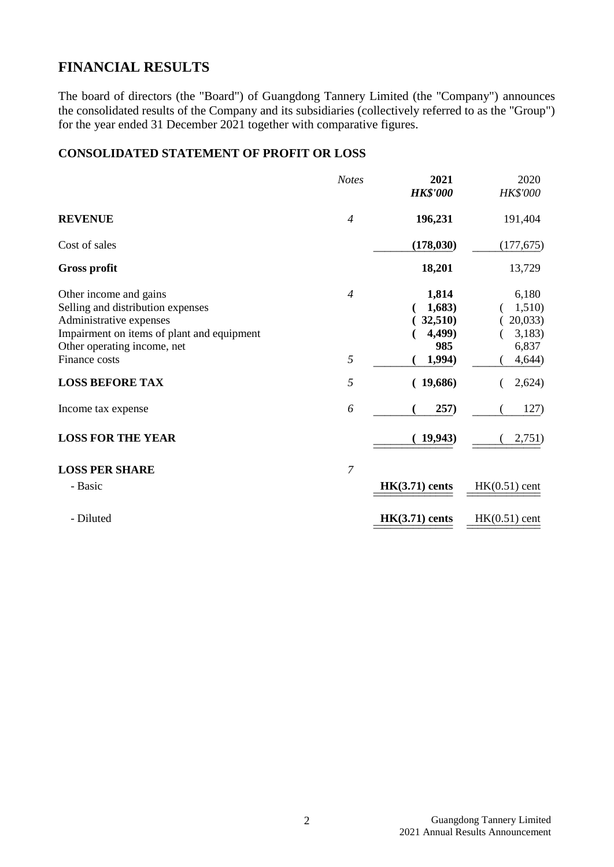# **FINANCIAL RESULTS**

The board of directors (the "Board") of Guangdong Tannery Limited (the "Company") announces the consolidated results of the Company and its subsidiaries (collectively referred to as the "Group") for the year ended 31 December 2021 together with comparative figures.

# **CONSOLIDATED STATEMENT OF PROFIT OR LOSS**

|                                                                                                                                                                                      | <b>Notes</b>        | 2021<br><b>HK\$'000</b>                               | 2020<br><b>HK\$'000</b>                                |
|--------------------------------------------------------------------------------------------------------------------------------------------------------------------------------------|---------------------|-------------------------------------------------------|--------------------------------------------------------|
| <b>REVENUE</b>                                                                                                                                                                       | $\overline{4}$      | 196,231                                               | 191,404                                                |
| Cost of sales                                                                                                                                                                        |                     | (178, 030)                                            | (177, 675)                                             |
| <b>Gross profit</b>                                                                                                                                                                  |                     | 18,201                                                | 13,729                                                 |
| Other income and gains<br>Selling and distribution expenses<br>Administrative expenses<br>Impairment on items of plant and equipment<br>Other operating income, net<br>Finance costs | $\overline{4}$<br>5 | 1,814<br>1,683)<br>32,510)<br>4,499)<br>985<br>1,994) | 6,180<br>1,510)<br>20,033<br>3,183)<br>6,837<br>4,644) |
| <b>LOSS BEFORE TAX</b>                                                                                                                                                               | 5                   | (19,686)                                              | 2,624)                                                 |
| Income tax expense                                                                                                                                                                   | 6                   | 257)                                                  | 127)                                                   |
| <b>LOSS FOR THE YEAR</b>                                                                                                                                                             |                     | 19,943)                                               | 2,751)                                                 |
| <b>LOSS PER SHARE</b><br>- Basic                                                                                                                                                     | 7                   | $HK(3.71)$ cents                                      | $HK(0.51)$ cent                                        |
| - Diluted                                                                                                                                                                            |                     | $HK(3.71)$ cents                                      | $HK(0.51)$ cent                                        |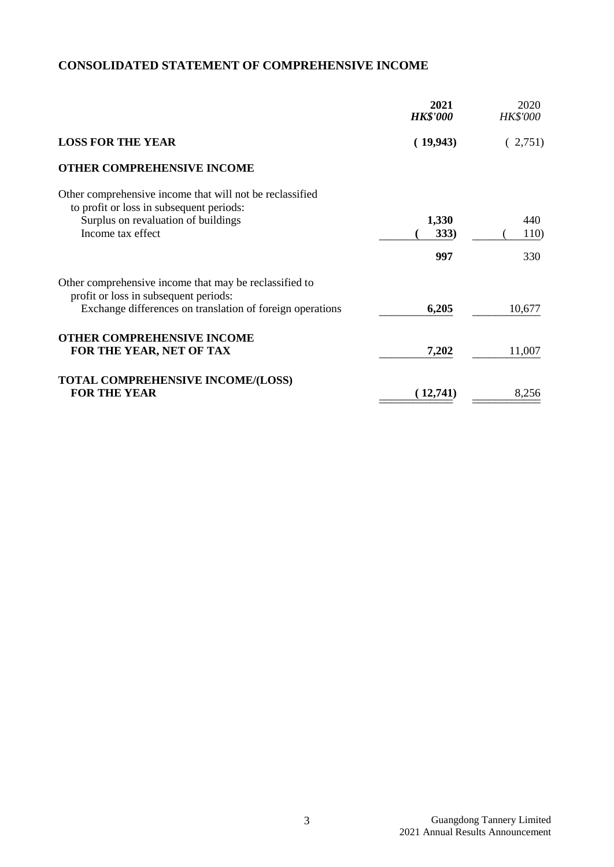# **CONSOLIDATED STATEMENT OF COMPREHENSIVE INCOME**

|                                                                                                                                                                  | 2021<br><b>HK\$'000</b> | 2020<br><b>HK\$'000</b> |
|------------------------------------------------------------------------------------------------------------------------------------------------------------------|-------------------------|-------------------------|
| <b>LOSS FOR THE YEAR</b>                                                                                                                                         | (19,943)                | (2,751)                 |
| <b>OTHER COMPREHENSIVE INCOME</b>                                                                                                                                |                         |                         |
| Other comprehensive income that will not be reclassified<br>to profit or loss in subsequent periods:<br>Surplus on revaluation of buildings<br>Income tax effect | 1,330<br>333)<br>997    | 440<br>110)<br>330      |
| Other comprehensive income that may be reclassified to<br>profit or loss in subsequent periods:<br>Exchange differences on translation of foreign operations     | 6,205                   | 10,677                  |
| <b>OTHER COMPREHENSIVE INCOME</b><br>FOR THE YEAR, NET OF TAX                                                                                                    | 7,202                   | 11,007                  |
| <b>TOTAL COMPREHENSIVE INCOME/(LOSS)</b><br><b>FOR THE YEAR</b>                                                                                                  | (12,741)                | 8,256                   |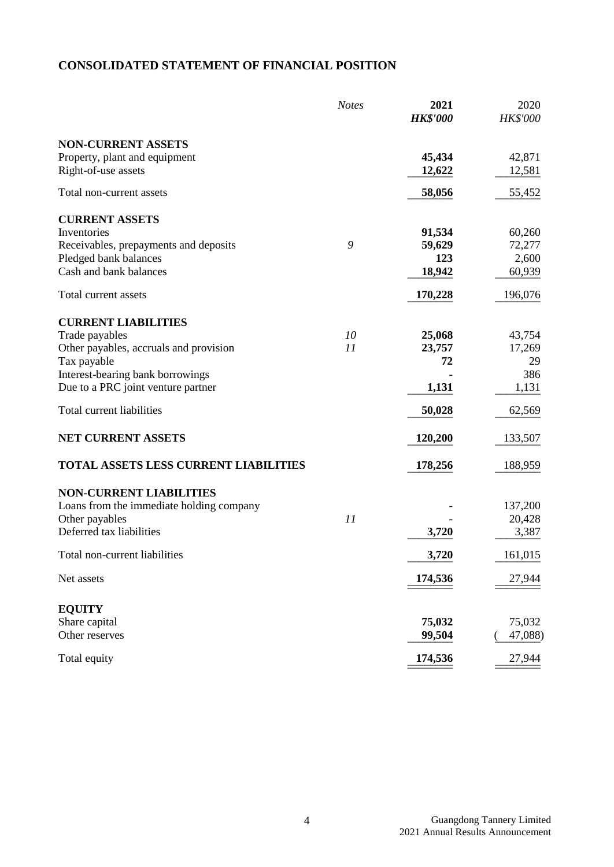# **CONSOLIDATED STATEMENT OF FINANCIAL POSITION**

|                                                                                   | <b>Notes</b> | 2021<br><b>HK\$'000</b> | 2020<br><b>HK\$'000</b> |
|-----------------------------------------------------------------------------------|--------------|-------------------------|-------------------------|
| <b>NON-CURRENT ASSETS</b><br>Property, plant and equipment<br>Right-of-use assets |              | 45,434<br>12,622        | 42,871<br>12,581        |
| Total non-current assets                                                          |              | 58,056                  | 55,452                  |
| <b>CURRENT ASSETS</b><br>Inventories                                              |              | 91,534                  | 60,260                  |
| Receivables, prepayments and deposits                                             | 9            | 59,629                  | 72,277                  |
| Pledged bank balances                                                             |              | 123                     | 2,600                   |
| Cash and bank balances                                                            |              | 18,942                  | 60,939                  |
| Total current assets                                                              |              | 170,228                 | 196,076                 |
| <b>CURRENT LIABILITIES</b>                                                        |              |                         |                         |
| Trade payables                                                                    | 10           | 25,068                  | 43,754                  |
| Other payables, accruals and provision                                            | 11           | 23,757                  | 17,269                  |
| Tax payable                                                                       |              | 72                      | 29                      |
| Interest-bearing bank borrowings                                                  |              |                         | 386                     |
| Due to a PRC joint venture partner                                                |              | 1,131                   | 1,131                   |
| Total current liabilities                                                         |              | 50,028                  | 62,569                  |
| <b>NET CURRENT ASSETS</b>                                                         |              | 120,200                 | 133,507                 |
| <b>TOTAL ASSETS LESS CURRENT LIABILITIES</b>                                      |              | 178,256                 | 188,959                 |
| <b>NON-CURRENT LIABILITIES</b>                                                    |              |                         |                         |
| Loans from the immediate holding company                                          |              |                         | 137,200                 |
| Other payables                                                                    | 11           |                         | 20,428                  |
| Deferred tax liabilities                                                          |              | 3,720                   | 3,387                   |
| Total non-current liabilities                                                     |              | <u>3,720</u>            | 161,015                 |
| Net assets                                                                        |              | 174,536                 | 27,944                  |
| <b>EQUITY</b>                                                                     |              |                         |                         |
| Share capital                                                                     |              | 75,032                  | 75,032                  |
| Other reserves                                                                    |              | 99,504                  | 47,088)                 |
| Total equity                                                                      |              | 174,536                 | 27,944                  |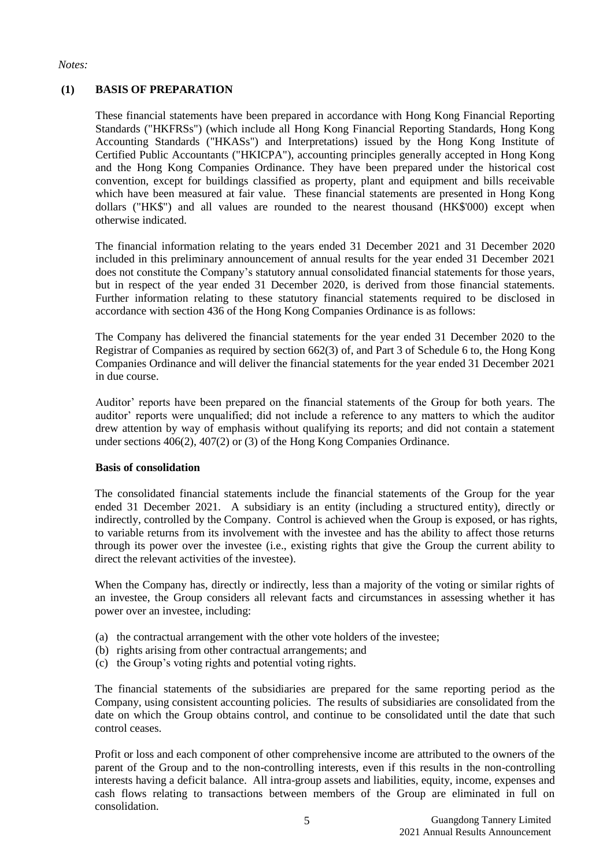#### *Notes:*

## **(1) BASIS OF PREPARATION**

These financial statements have been prepared in accordance with Hong Kong Financial Reporting Standards ("HKFRSs") (which include all Hong Kong Financial Reporting Standards, Hong Kong Accounting Standards ("HKASs") and Interpretations) issued by the Hong Kong Institute of Certified Public Accountants ("HKICPA"), accounting principles generally accepted in Hong Kong and the Hong Kong Companies Ordinance. They have been prepared under the historical cost convention, except for buildings classified as property, plant and equipment and bills receivable which have been measured at fair value. These financial statements are presented in Hong Kong dollars ("HK\$") and all values are rounded to the nearest thousand (HK\$'000) except when otherwise indicated.

The financial information relating to the years ended 31 December 2021 and 31 December 2020 included in this preliminary announcement of annual results for the year ended 31 December 2021 does not constitute the Company's statutory annual consolidated financial statements for those years, but in respect of the year ended 31 December 2020, is derived from those financial statements. Further information relating to these statutory financial statements required to be disclosed in accordance with section 436 of the Hong Kong Companies Ordinance is as follows:

The Company has delivered the financial statements for the year ended 31 December 2020 to the Registrar of Companies as required by section 662(3) of, and Part 3 of Schedule 6 to, the Hong Kong Companies Ordinance and will deliver the financial statements for the year ended 31 December 2021 in due course.

Auditor' reports have been prepared on the financial statements of the Group for both years. The auditor' reports were unqualified; did not include a reference to any matters to which the auditor drew attention by way of emphasis without qualifying its reports; and did not contain a statement under sections 406(2), 407(2) or (3) of the Hong Kong Companies Ordinance.

#### **Basis of consolidation**

The consolidated financial statements include the financial statements of the Group for the year ended 31 December 2021. A subsidiary is an entity (including a structured entity), directly or indirectly, controlled by the Company. Control is achieved when the Group is exposed, or has rights, to variable returns from its involvement with the investee and has the ability to affect those returns through its power over the investee (i.e., existing rights that give the Group the current ability to direct the relevant activities of the investee).

When the Company has, directly or indirectly, less than a majority of the voting or similar rights of an investee, the Group considers all relevant facts and circumstances in assessing whether it has power over an investee, including:

- (a) the contractual arrangement with the other vote holders of the investee;
- (b) rights arising from other contractual arrangements; and
- (c) the Group's voting rights and potential voting rights.

The financial statements of the subsidiaries are prepared for the same reporting period as the Company, using consistent accounting policies. The results of subsidiaries are consolidated from the date on which the Group obtains control, and continue to be consolidated until the date that such control ceases.

Profit or loss and each component of other comprehensive income are attributed to the owners of the parent of the Group and to the non-controlling interests, even if this results in the non-controlling interests having a deficit balance. All intra-group assets and liabilities, equity, income, expenses and cash flows relating to transactions between members of the Group are eliminated in full on consolidation.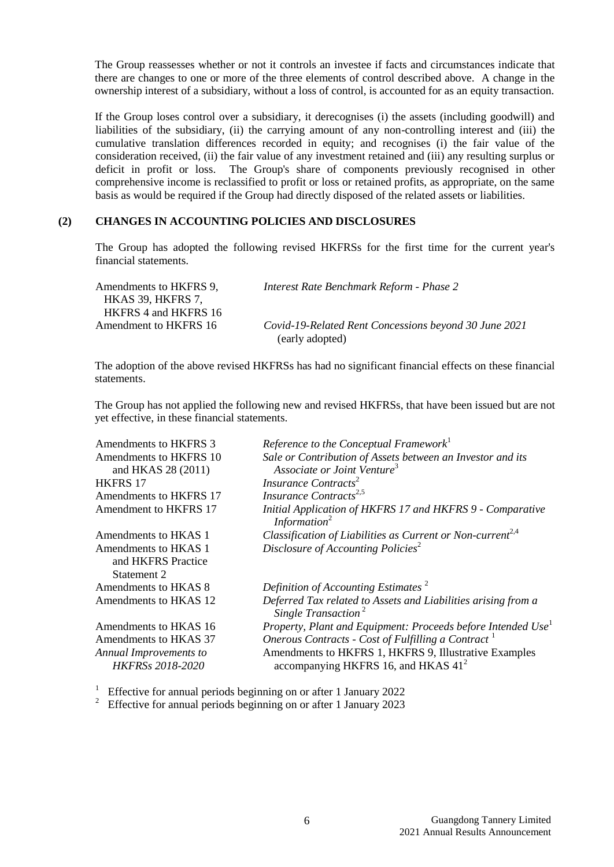The Group reassesses whether or not it controls an investee if facts and circumstances indicate that there are changes to one or more of the three elements of control described above. A change in the ownership interest of a subsidiary, without a loss of control, is accounted for as an equity transaction.

If the Group loses control over a subsidiary, it derecognises (i) the assets (including goodwill) and liabilities of the subsidiary, (ii) the carrying amount of any non-controlling interest and (iii) the cumulative translation differences recorded in equity; and recognises (i) the fair value of the consideration received, (ii) the fair value of any investment retained and (iii) any resulting surplus or deficit in profit or loss. The Group's share of components previously recognised in other comprehensive income is reclassified to profit or loss or retained profits, as appropriate, on the same basis as would be required if the Group had directly disposed of the related assets or liabilities.

#### **(2) CHANGES IN ACCOUNTING POLICIES AND DISCLOSURES**

The Group has adopted the following revised HKFRSs for the first time for the current year's financial statements.

| Amendments to HKFRS 9, | Interest Rate Benchmark Reform - Phase 2              |
|------------------------|-------------------------------------------------------|
| HKAS 39. HKFRS 7.      |                                                       |
| HKFRS 4 and HKFRS 16   |                                                       |
| Amendment to HKFRS 16  | Covid-19-Related Rent Concessions beyond 30 June 2021 |
|                        | (early adopted)                                       |

The adoption of the above revised HKFRSs has had no significant financial effects on these financial statements.

The Group has not applied the following new and revised HKFRSs, that have been issued but are not yet effective, in these financial statements.

| Amendments to HKFRS 3                      | Reference to the Conceptual Framework <sup>1</sup>                                               |
|--------------------------------------------|--------------------------------------------------------------------------------------------------|
| Amendments to HKFRS 10                     | Sale or Contribution of Assets between an Investor and its                                       |
| and HKAS 28 (2011)                         | Associate or Joint Venture <sup>3</sup>                                                          |
| <b>HKFRS 17</b>                            | Insurance Contracts <sup>2</sup>                                                                 |
| Amendments to HKFRS 17                     | Insurance Contracts <sup>2,5</sup>                                                               |
| Amendment to HKFRS 17                      | Initial Application of HKFRS 17 and HKFRS 9 - Comparative<br>Information <sup>2</sup>            |
| Amendments to HKAS 1                       | Classification of Liabilities as Current or Non-current <sup>2,4</sup>                           |
| Amendments to HKAS 1<br>and HKFRS Practice | Disclosure of Accounting Policies <sup>2</sup>                                                   |
| Statement 2                                |                                                                                                  |
| Amendments to HKAS 8                       | Definition of Accounting Estimates <sup>2</sup>                                                  |
| Amendments to HKAS 12                      | Deferred Tax related to Assets and Liabilities arising from a<br>Single Transaction <sup>2</sup> |
| Amendments to HKAS 16                      | Property, Plant and Equipment: Proceeds before Intended Use <sup>1</sup>                         |
| Amendments to HKAS 37                      | Onerous Contracts - Cost of Fulfilling a Contract <sup>1</sup>                                   |
| Annual Improvements to                     | Amendments to HKFRS 1, HKFRS 9, Illustrative Examples                                            |
| <b>HKFRSs 2018-2020</b>                    | accompanying HKFRS 16, and HKAS $412$                                                            |

<sup>1</sup> Effective for annual periods beginning on or after 1 January 2022

<sup>2</sup> Effective for annual periods beginning on or after 1 January 2023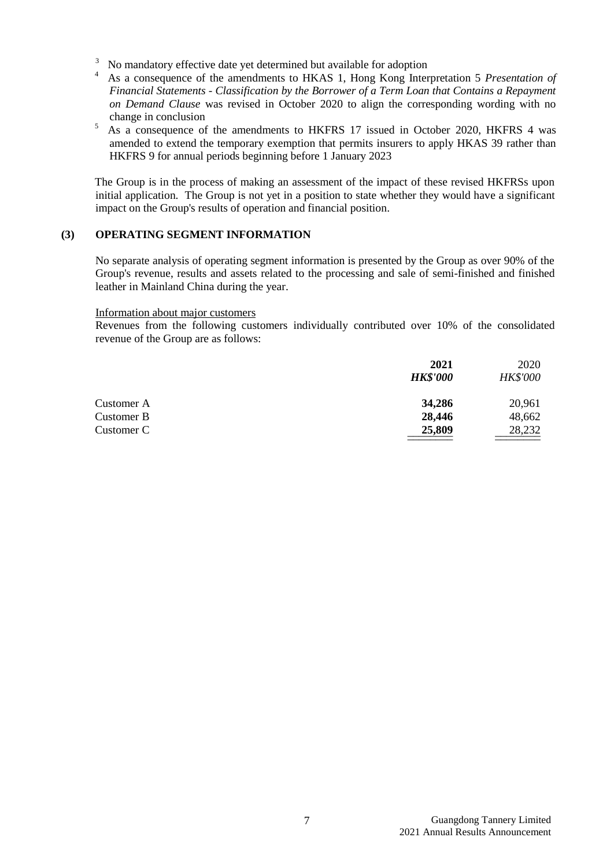- <sup>3</sup> No mandatory effective date yet determined but available for adoption  $\frac{4}{1}$  As a consequence of the amondments to HKAS 1. Hong Kong Inter-
- <sup>4</sup> As a consequence of the amendments to HKAS 1, Hong Kong Interpretation 5 *Presentation of Financial Statements - Classification by the Borrower of a Term Loan that Contains a Repayment on Demand Clause* was revised in October 2020 to align the corresponding wording with no change in conclusion
- <sup>5</sup> As a consequence of the amendments to HKFRS 17 issued in October 2020, HKFRS 4 was amended to extend the temporary exemption that permits insurers to apply HKAS 39 rather than HKFRS 9 for annual periods beginning before 1 January 2023

The Group is in the process of making an assessment of the impact of these revised HKFRSs upon initial application. The Group is not yet in a position to state whether they would have a significant impact on the Group's results of operation and financial position.

## **(3) OPERATING SEGMENT INFORMATION**

No separate analysis of operating segment information is presented by the Group as over 90% of the Group's revenue, results and assets related to the processing and sale of semi-finished and finished leather in Mainland China during the year.

#### Information about major customers

Revenues from the following customers individually contributed over 10% of the consolidated revenue of the Group are as follows:

|            | 2021            | 2020            |
|------------|-----------------|-----------------|
|            | <b>HK\$'000</b> | <b>HK\$'000</b> |
| Customer A | 34,286          | 20,961          |
| Customer B | 28,446          | 48,662          |
| Customer C | 25,809          | 28,232          |
|            |                 |                 |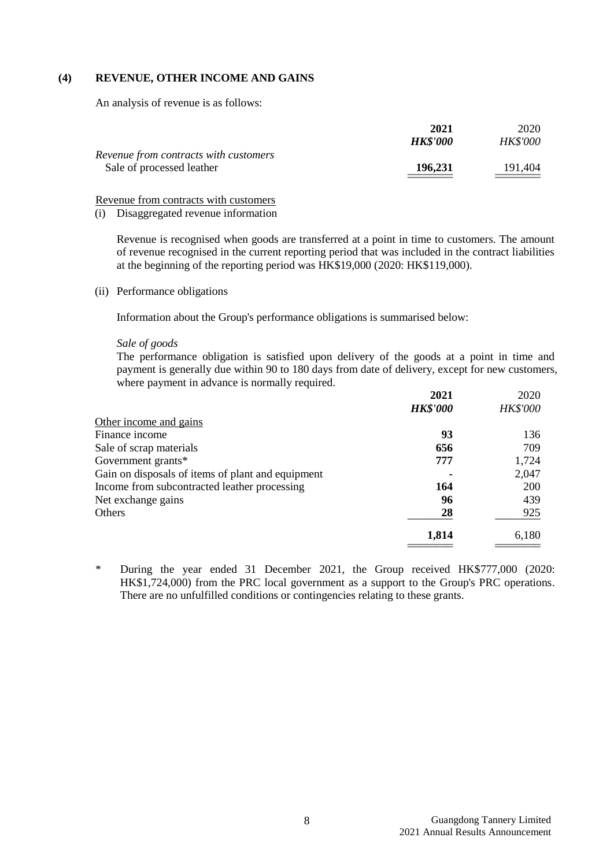#### **(4) REVENUE, OTHER INCOME AND GAINS**

An analysis of revenue is as follows:

|                                       | 2021            | 2020            |
|---------------------------------------|-----------------|-----------------|
|                                       | <b>HK\$'000</b> | <b>HK\$'000</b> |
| Revenue from contracts with customers |                 |                 |
| Sale of processed leather             | 196,231         | 191.404         |
|                                       |                 |                 |

Revenue from contracts with customers

(i) Disaggregated revenue information

Revenue is recognised when goods are transferred at a point in time to customers. The amount of revenue recognised in the current reporting period that was included in the contract liabilities at the beginning of the reporting period was HK\$19,000 (2020: HK\$119,000).

(ii) Performance obligations

Information about the Group's performance obligations is summarised below:

#### *Sale of goods*

The performance obligation is satisfied upon delivery of the goods at a point in time and payment is generally due within 90 to 180 days from date of delivery, except for new customers, where payment in advance is normally required.

|                                                   | 2021            | 2020            |
|---------------------------------------------------|-----------------|-----------------|
|                                                   | <b>HK\$'000</b> | <b>HK\$'000</b> |
| Other income and gains                            |                 |                 |
| Finance income                                    | 93              | 136             |
| Sale of scrap materials                           | 656             | 709             |
| Government grants*                                | 777             | 1,724           |
| Gain on disposals of items of plant and equipment |                 | 2,047           |
| Income from subcontracted leather processing      | 164             | 200             |
| Net exchange gains                                | 96              | 439             |
| Others                                            | 28              | 925             |
|                                                   | 1,814           | 6,180           |
|                                                   |                 |                 |

\* During the year ended 31 December 2021, the Group received HK\$777,000 (2020: HK\$1,724,000) from the PRC local government as a support to the Group's PRC operations. There are no unfulfilled conditions or contingencies relating to these grants.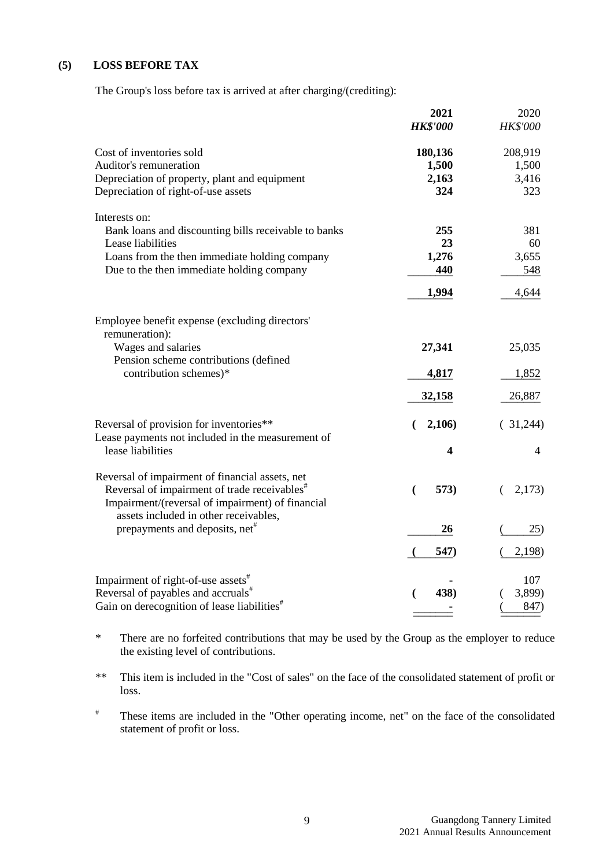## **(5) LOSS BEFORE TAX**

The Group's loss before tax is arrived at after charging/(crediting):

|                                                                  | 2021<br><b>HK\$'000</b> | 2020<br><b>HK\$'000</b> |
|------------------------------------------------------------------|-------------------------|-------------------------|
|                                                                  |                         |                         |
| Cost of inventories sold                                         | 180,136                 | 208,919                 |
| Auditor's remuneration                                           | 1,500                   | 1,500                   |
| Depreciation of property, plant and equipment                    | 2,163                   | 3,416                   |
| Depreciation of right-of-use assets                              | 324                     | 323                     |
| Interests on:                                                    |                         |                         |
| Bank loans and discounting bills receivable to banks             | 255                     | 381                     |
| Lease liabilities                                                | 23                      | 60                      |
| Loans from the then immediate holding company                    | 1,276                   | 3,655                   |
| Due to the then immediate holding company                        | 440                     | 548                     |
|                                                                  | 1,994                   | 4,644                   |
|                                                                  |                         |                         |
| Employee benefit expense (excluding directors'<br>remuneration): |                         |                         |
| Wages and salaries                                               | 27,341                  | 25,035                  |
| Pension scheme contributions (defined                            |                         |                         |
| contribution schemes)*                                           | 4,817                   | 1,852                   |
|                                                                  | 32,158                  | 26,887                  |
| Reversal of provision for inventories**                          | 2,106<br>€              | (31,244)                |
| Lease payments not included in the measurement of                |                         |                         |
| lease liabilities                                                | 4                       | 4                       |
| Reversal of impairment of financial assets, net                  |                         |                         |
| Reversal of impairment of trade receivables <sup>#</sup>         | 573)<br>(               | 2,173)<br>€             |
| Impairment/(reversal of impairment) of financial                 |                         |                         |
| assets included in other receivables,                            |                         |                         |
| prepayments and deposits, net <sup>#</sup>                       | 26                      | 25)                     |
|                                                                  | 547)                    | 2,198)                  |
|                                                                  |                         |                         |
| Impairment of right-of-use assets <sup>#</sup>                   |                         | 107                     |
| Reversal of payables and accruals <sup>#</sup>                   | 438)<br>(               | 3,899)                  |
| Gain on derecognition of lease liabilities <sup>#</sup>          |                         | 847)                    |

\* There are no forfeited contributions that may be used by the Group as the employer to reduce the existing level of contributions.

\*\* This item is included in the "Cost of sales" on the face of the consolidated statement of profit or loss.

# These items are included in the "Other operating income, net" on the face of the consolidated statement of profit or loss.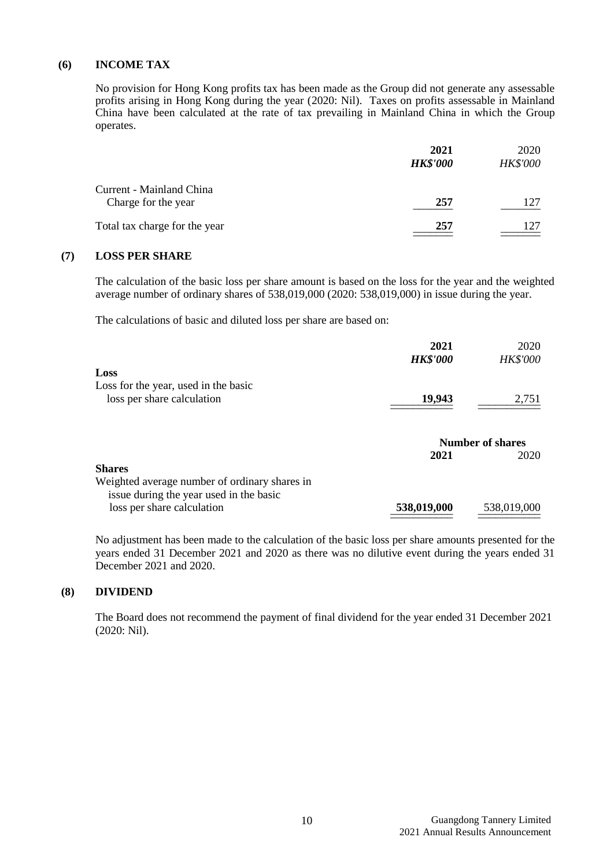#### **(6) INCOME TAX**

No provision for Hong Kong profits tax has been made as the Group did not generate any assessable profits arising in Hong Kong during the year (2020: Nil). Taxes on profits assessable in Mainland China have been calculated at the rate of tax prevailing in Mainland China in which the Group operates.

|                                                 | 2021<br><b>HK\$'000</b> | 2020<br><b>HK\$'000</b> |
|-------------------------------------------------|-------------------------|-------------------------|
| Current - Mainland China<br>Charge for the year | 257                     | 127                     |
| Total tax charge for the year                   | 257                     |                         |

## **(7) LOSS PER SHARE**

The calculation of the basic loss per share amount is based on the loss for the year and the weighted average number of ordinary shares of 538,019,000 (2020: 538,019,000) in issue during the year.

The calculations of basic and diluted loss per share are based on:

|                                               | 2021            | 2020                            |
|-----------------------------------------------|-----------------|---------------------------------|
|                                               | <b>HK\$'000</b> | <b>HK\$'000</b>                 |
| Loss                                          |                 |                                 |
| Loss for the year, used in the basic          |                 |                                 |
| loss per share calculation                    | 19,943          | 2,751                           |
|                                               | 2021            | <b>Number of shares</b><br>2020 |
| <b>Shares</b>                                 |                 |                                 |
| Weighted average number of ordinary shares in |                 |                                 |
| issue during the year used in the basic       |                 |                                 |
| loss per share calculation                    | 538,019,000     | 538,019,000                     |

No adjustment has been made to the calculation of the basic loss per share amounts presented for the years ended 31 December 2021 and 2020 as there was no dilutive event during the years ended 31 December 2021 and 2020.

#### **(8) DIVIDEND**

The Board does not recommend the payment of final dividend for the year ended 31 December 2021 (2020: Nil).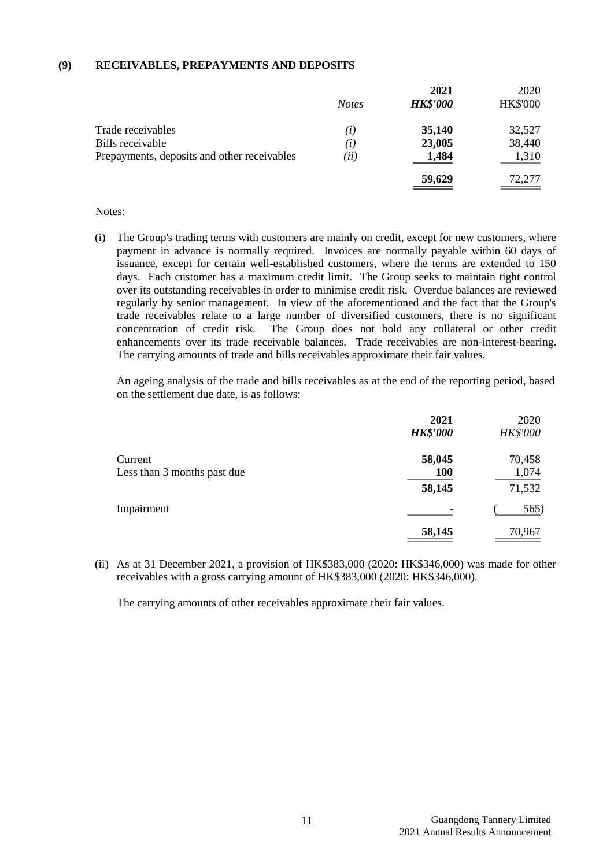#### **(9) RECEIVABLES, PREPAYMENTS AND DEPOSITS**

|                                             |              | 2021            | 2020            |
|---------------------------------------------|--------------|-----------------|-----------------|
|                                             | <b>Notes</b> | <b>HK\$'000</b> | <b>HK\$'000</b> |
| Trade receivables                           | (i)          | 35,140          | 32,527          |
| Bills receivable                            | (i)          | 23,005          | 38,440          |
| Prepayments, deposits and other receivables | (ii)         | 1,484           | 1,310           |
|                                             |              | 59,629          | 72,277          |

#### Notes:

(i) The Group's trading terms with customers are mainly on credit, except for new customers, where payment in advance is normally required. Invoices are normally payable within 60 days of issuance, except for certain well-established customers, where the terms are extended to 150 days. Each customer has a maximum credit limit. The Group seeks to maintain tight control over its outstanding receivables in order to minimise credit risk. Overdue balances are reviewed regularly by senior management. In view of the aforementioned and the fact that the Group's trade receivables relate to a large number of diversified customers, there is no significant concentration of credit risk. The Group does not hold any collateral or other credit enhancements over its trade receivable balances. Trade receivables are non-interest-bearing. The carrying amounts of trade and bills receivables approximate their fair values.

An ageing analysis of the trade and bills receivables as at the end of the reporting period, based on the settlement due date, is as follows:

|                             | 2021<br><b>HK\$'000</b> | 2020<br>HK\$'000 |
|-----------------------------|-------------------------|------------------|
| Current                     | 58,045                  | 70,458           |
| Less than 3 months past due | <b>100</b>              | 1,074            |
|                             | 58,145                  | 71,532           |
| Impairment                  | $\blacksquare$          | 565)             |
|                             | 58,145                  | 70,967           |

(ii) As at 31 December 2021, a provision of HK\$383,000 (2020: HK\$346,000) was made for other receivables with a gross carrying amount of HK\$383,000 (2020: HK\$346,000).

The carrying amounts of other receivables approximate their fair values.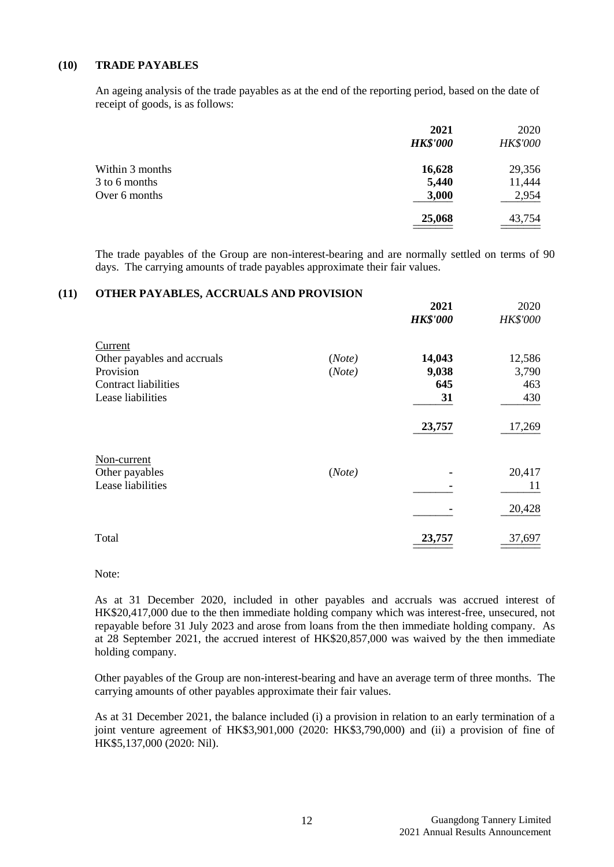#### **(10) TRADE PAYABLES**

An ageing analysis of the trade payables as at the end of the reporting period, based on the date of receipt of goods, is as follows:

|                 | 2021<br><b>HK\$'000</b> | 2020<br><b>HK\$'000</b> |
|-----------------|-------------------------|-------------------------|
| Within 3 months | 16,628                  | 29,356                  |
| 3 to 6 months   | 5,440                   | 11,444                  |
| Over 6 months   | 3,000                   | 2,954                   |
|                 | 25,068                  | 43,754                  |

The trade payables of the Group are non-interest-bearing and are normally settled on terms of 90 days. The carrying amounts of trade payables approximate their fair values.

#### **(11) OTHER PAYABLES, ACCRUALS AND PROVISION**

|                                                                                                         |                  | 2021<br><b>HK\$'000</b>      | 2020<br><b>HK\$'000</b>       |
|---------------------------------------------------------------------------------------------------------|------------------|------------------------------|-------------------------------|
| Current<br>Other payables and accruals<br>Provision<br><b>Contract liabilities</b><br>Lease liabilities | (Note)<br>(Note) | 14,043<br>9,038<br>645<br>31 | 12,586<br>3,790<br>463<br>430 |
|                                                                                                         |                  | 23,757                       | 17,269                        |
| Non-current<br>Other payables<br>Lease liabilities                                                      | (Note)           |                              | 20,417<br>11                  |
|                                                                                                         |                  |                              | 20,428                        |
| Total                                                                                                   |                  | 23,757                       | 37,697                        |

Note:

As at 31 December 2020, included in other payables and accruals was accrued interest of HK\$20,417,000 due to the then immediate holding company which was interest-free, unsecured, not repayable before 31 July 2023 and arose from loans from the then immediate holding company. As at 28 September 2021, the accrued interest of HK\$20,857,000 was waived by the then immediate holding company.

Other payables of the Group are non-interest-bearing and have an average term of three months. The carrying amounts of other payables approximate their fair values.

As at 31 December 2021, the balance included (i) a provision in relation to an early termination of a joint venture agreement of HK\$3,901,000 (2020: HK\$3,790,000) and (ii) a provision of fine of HK\$5,137,000 (2020: Nil).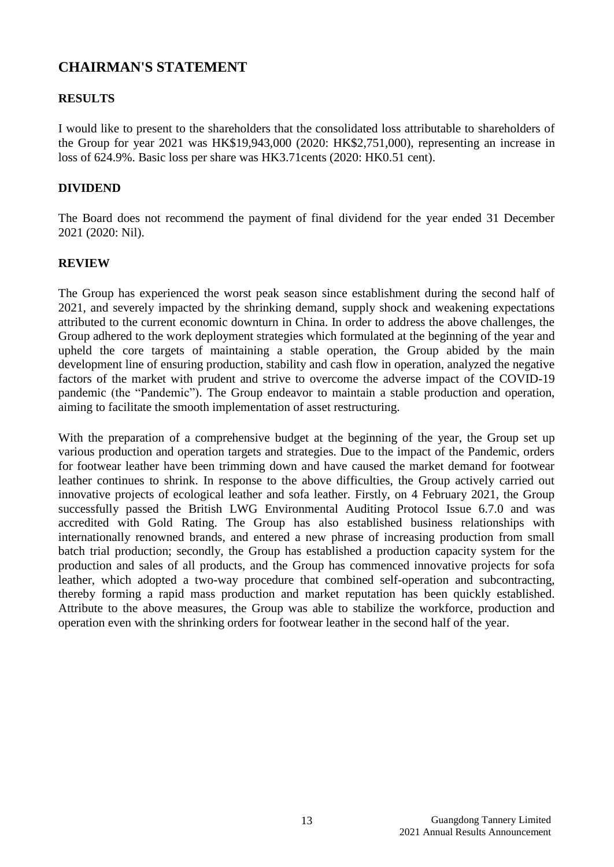# **CHAIRMAN'S STATEMENT**

# **RESULTS**

I would like to present to the shareholders that the consolidated loss attributable to shareholders of the Group for year 2021 was HK\$19,943,000 (2020: HK\$2,751,000), representing an increase in loss of 624.9%. Basic loss per share was HK3.71cents (2020: HK0.51 cent).

# **DIVIDEND**

The Board does not recommend the payment of final dividend for the year ended 31 December 2021 (2020: Nil).

# **REVIEW**

The Group has experienced the worst peak season since establishment during the second half of 2021, and severely impacted by the shrinking demand, supply shock and weakening expectations attributed to the current economic downturn in China. In order to address the above challenges, the Group adhered to the work deployment strategies which formulated at the beginning of the year and upheld the core targets of maintaining a stable operation, the Group abided by the main development line of ensuring production, stability and cash flow in operation, analyzed the negative factors of the market with prudent and strive to overcome the adverse impact of the COVID-19 pandemic (the "Pandemic"). The Group endeavor to maintain a stable production and operation, aiming to facilitate the smooth implementation of asset restructuring.

With the preparation of a comprehensive budget at the beginning of the year, the Group set up various production and operation targets and strategies. Due to the impact of the Pandemic, orders for footwear leather have been trimming down and have caused the market demand for footwear leather continues to shrink. In response to the above difficulties, the Group actively carried out innovative projects of ecological leather and sofa leather. Firstly, on 4 February 2021, the Group successfully passed the British LWG Environmental Auditing Protocol Issue 6.7.0 and was accredited with Gold Rating. The Group has also established business relationships with internationally renowned brands, and entered a new phrase of increasing production from small batch trial production; secondly, the Group has established a production capacity system for the production and sales of all products, and the Group has commenced innovative projects for sofa leather, which adopted a two-way procedure that combined self-operation and subcontracting, thereby forming a rapid mass production and market reputation has been quickly established. Attribute to the above measures, the Group was able to stabilize the workforce, production and operation even with the shrinking orders for footwear leather in the second half of the year.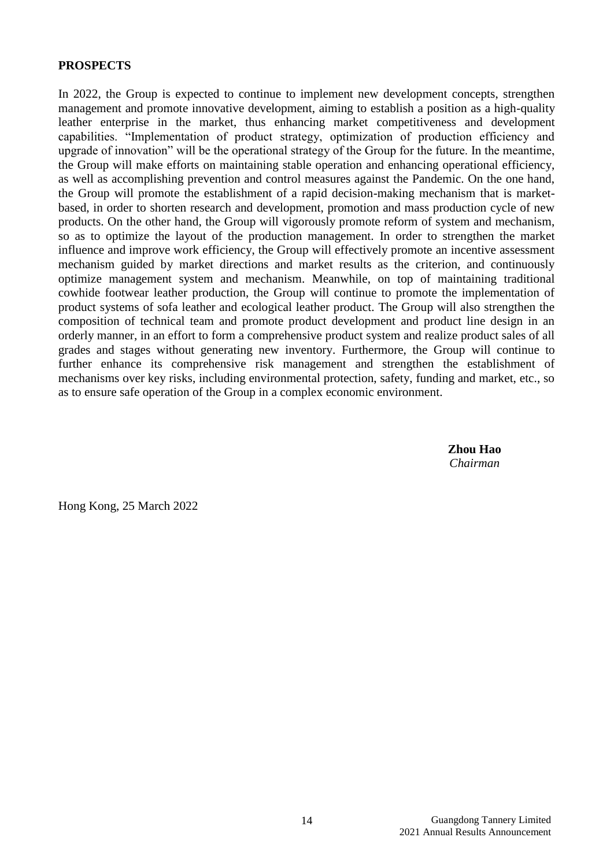# **PROSPECTS**

In 2022, the Group is expected to continue to implement new development concepts, strengthen management and promote innovative development, aiming to establish a position as a high-quality leather enterprise in the market, thus enhancing market competitiveness and development capabilities. "Implementation of product strategy, optimization of production efficiency and upgrade of innovation" will be the operational strategy of the Group for the future. In the meantime, the Group will make efforts on maintaining stable operation and enhancing operational efficiency, as well as accomplishing prevention and control measures against the Pandemic. On the one hand, the Group will promote the establishment of a rapid decision-making mechanism that is marketbased, in order to shorten research and development, promotion and mass production cycle of new products. On the other hand, the Group will vigorously promote reform of system and mechanism, so as to optimize the layout of the production management. In order to strengthen the market influence and improve work efficiency, the Group will effectively promote an incentive assessment mechanism guided by market directions and market results as the criterion, and continuously optimize management system and mechanism. Meanwhile, on top of maintaining traditional cowhide footwear leather production, the Group will continue to promote the implementation of product systems of sofa leather and ecological leather product. The Group will also strengthen the composition of technical team and promote product development and product line design in an orderly manner, in an effort to form a comprehensive product system and realize product sales of all grades and stages without generating new inventory. Furthermore, the Group will continue to further enhance its comprehensive risk management and strengthen the establishment of mechanisms over key risks, including environmental protection, safety, funding and market, etc., so as to ensure safe operation of the Group in a complex economic environment.

> **Zhou Hao** *Chairman*

Hong Kong, 25 March 2022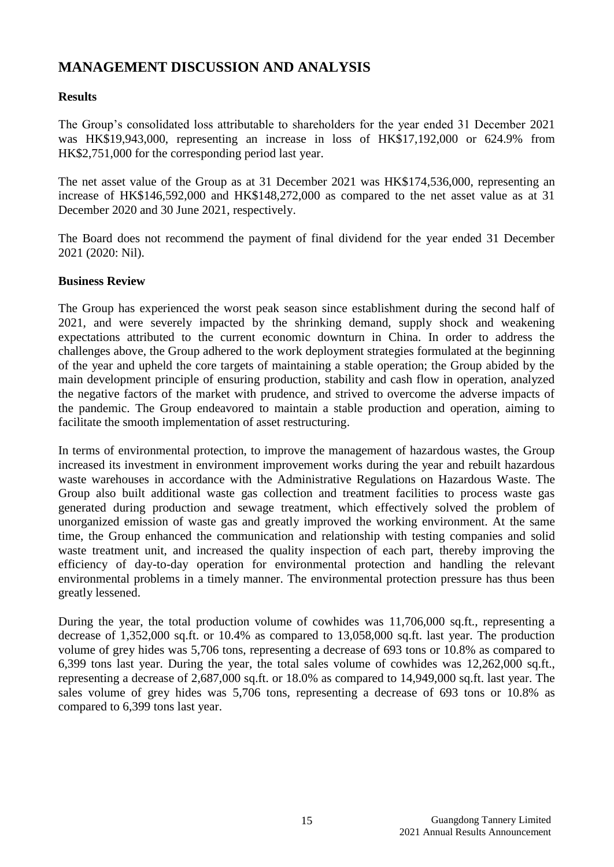# **MANAGEMENT DISCUSSION AND ANALYSIS**

# **Results**

The Group's consolidated loss attributable to shareholders for the year ended 31 December 2021 was HK\$19,943,000, representing an increase in loss of HK\$17,192,000 or 624.9% from HK\$2,751,000 for the corresponding period last year.

The net asset value of the Group as at 31 December 2021 was HK\$174,536,000, representing an increase of HK\$146,592,000 and HK\$148,272,000 as compared to the net asset value as at 31 December 2020 and 30 June 2021, respectively.

The Board does not recommend the payment of final dividend for the year ended 31 December 2021 (2020: Nil).

## **Business Review**

The Group has experienced the worst peak season since establishment during the second half of 2021, and were severely impacted by the shrinking demand, supply shock and weakening expectations attributed to the current economic downturn in China. In order to address the challenges above, the Group adhered to the work deployment strategies formulated at the beginning of the year and upheld the core targets of maintaining a stable operation; the Group abided by the main development principle of ensuring production, stability and cash flow in operation, analyzed the negative factors of the market with prudence, and strived to overcome the adverse impacts of the pandemic. The Group endeavored to maintain a stable production and operation, aiming to facilitate the smooth implementation of asset restructuring.

In terms of environmental protection, to improve the management of hazardous wastes, the Group increased its investment in environment improvement works during the year and rebuilt hazardous waste warehouses in accordance with the Administrative Regulations on Hazardous Waste. The Group also built additional waste gas collection and treatment facilities to process waste gas generated during production and sewage treatment, which effectively solved the problem of unorganized emission of waste gas and greatly improved the working environment. At the same time, the Group enhanced the communication and relationship with testing companies and solid waste treatment unit, and increased the quality inspection of each part, thereby improving the efficiency of day-to-day operation for environmental protection and handling the relevant environmental problems in a timely manner. The environmental protection pressure has thus been greatly lessened.

During the year, the total production volume of cowhides was 11,706,000 sq.ft., representing a decrease of 1,352,000 sq.ft. or 10.4% as compared to 13,058,000 sq.ft. last year. The production volume of grey hides was 5,706 tons, representing a decrease of 693 tons or 10.8% as compared to 6,399 tons last year. During the year, the total sales volume of cowhides was 12,262,000 sq.ft., representing a decrease of 2,687,000 sq.ft. or 18.0% as compared to 14,949,000 sq.ft. last year. The sales volume of grey hides was 5,706 tons, representing a decrease of 693 tons or 10.8% as compared to 6,399 tons last year.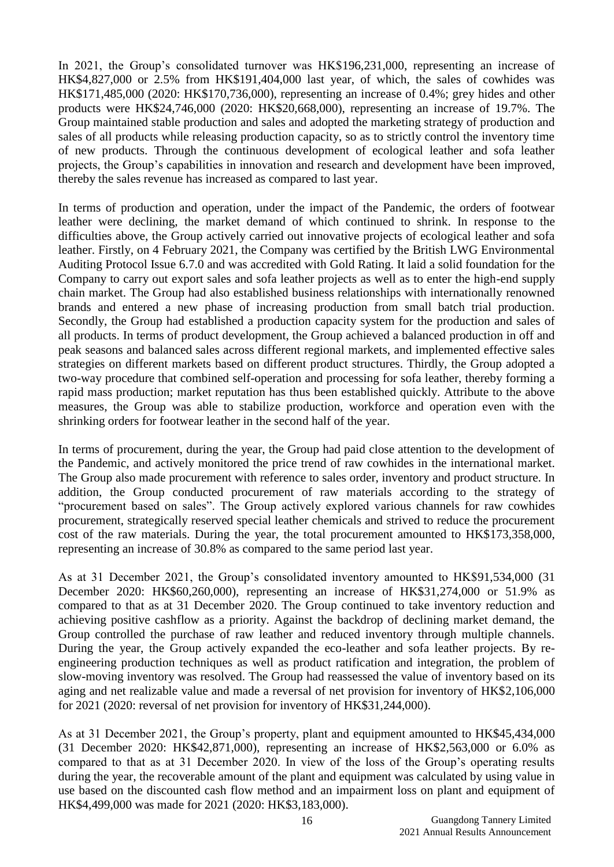In 2021, the Group's consolidated turnover was HK\$196,231,000, representing an increase of HK\$4,827,000 or 2.5% from HK\$191,404,000 last year, of which, the sales of cowhides was HK\$171,485,000 (2020: HK\$170,736,000), representing an increase of 0.4%; grey hides and other products were HK\$24,746,000 (2020: HK\$20,668,000), representing an increase of 19.7%. The Group maintained stable production and sales and adopted the marketing strategy of production and sales of all products while releasing production capacity, so as to strictly control the inventory time of new products. Through the continuous development of ecological leather and sofa leather projects, the Group's capabilities in innovation and research and development have been improved, thereby the sales revenue has increased as compared to last year.

In terms of production and operation, under the impact of the Pandemic, the orders of footwear leather were declining, the market demand of which continued to shrink. In response to the difficulties above, the Group actively carried out innovative projects of ecological leather and sofa leather. Firstly, on 4 February 2021, the Company was certified by the British LWG Environmental Auditing Protocol Issue 6.7.0 and was accredited with Gold Rating. It laid a solid foundation for the Company to carry out export sales and sofa leather projects as well as to enter the high-end supply chain market. The Group had also established business relationships with internationally renowned brands and entered a new phase of increasing production from small batch trial production. Secondly, the Group had established a production capacity system for the production and sales of all products. In terms of product development, the Group achieved a balanced production in off and peak seasons and balanced sales across different regional markets, and implemented effective sales strategies on different markets based on different product structures. Thirdly, the Group adopted a two-way procedure that combined self-operation and processing for sofa leather, thereby forming a rapid mass production; market reputation has thus been established quickly. Attribute to the above measures, the Group was able to stabilize production, workforce and operation even with the shrinking orders for footwear leather in the second half of the year.

In terms of procurement, during the year, the Group had paid close attention to the development of the Pandemic, and actively monitored the price trend of raw cowhides in the international market. The Group also made procurement with reference to sales order, inventory and product structure. In addition, the Group conducted procurement of raw materials according to the strategy of "procurement based on sales". The Group actively explored various channels for raw cowhides procurement, strategically reserved special leather chemicals and strived to reduce the procurement cost of the raw materials. During the year, the total procurement amounted to HK\$173,358,000, representing an increase of 30.8% as compared to the same period last year.

As at 31 December 2021, the Group's consolidated inventory amounted to HK\$91,534,000 (31 December 2020: HK\$60,260,000), representing an increase of HK\$31,274,000 or 51.9% as compared to that as at 31 December 2020. The Group continued to take inventory reduction and achieving positive cashflow as a priority. Against the backdrop of declining market demand, the Group controlled the purchase of raw leather and reduced inventory through multiple channels. During the year, the Group actively expanded the eco-leather and sofa leather projects. By reengineering production techniques as well as product ratification and integration, the problem of slow-moving inventory was resolved. The Group had reassessed the value of inventory based on its aging and net realizable value and made a reversal of net provision for inventory of HK\$2,106,000 for 2021 (2020: reversal of net provision for inventory of HK\$31,244,000).

As at 31 December 2021, the Group's property, plant and equipment amounted to HK\$45,434,000 (31 December 2020: HK\$42,871,000), representing an increase of HK\$2,563,000 or 6.0% as compared to that as at 31 December 2020. In view of the loss of the Group's operating results during the year, the recoverable amount of the plant and equipment was calculated by using value in use based on the discounted cash flow method and an impairment loss on plant and equipment of HK\$4,499,000 was made for 2021 (2020: HK\$3,183,000).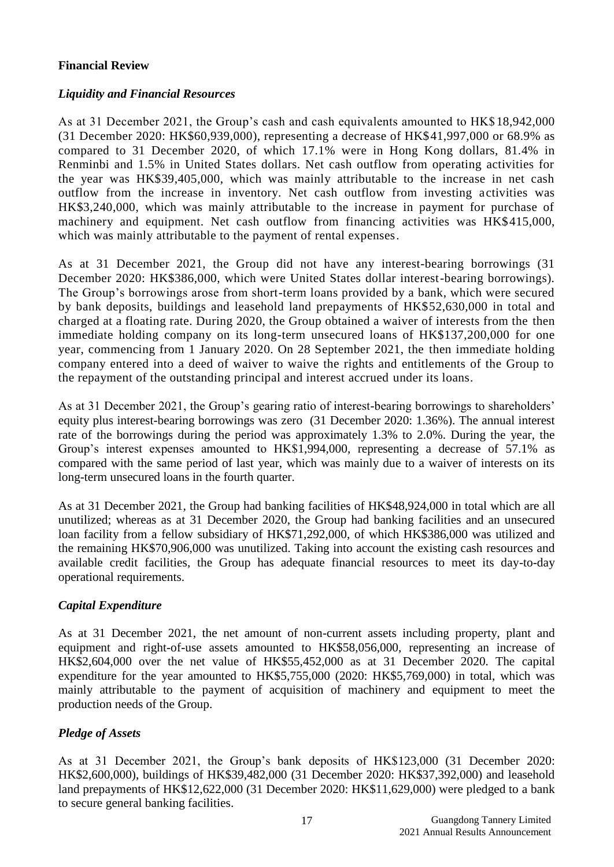# **Financial Review**

# *Liquidity and Financial Resources*

As at 31 December 2021, the Group's cash and cash equivalents amounted to HK\$18,942,000 (31 December 2020: HK\$60,939,000), representing a decrease of HK\$41,997,000 or 68.9% as compared to 31 December 2020, of which 17.1% were in Hong Kong dollars, 81.4% in Renminbi and 1.5% in United States dollars. Net cash outflow from operating activities for the year was HK\$39,405,000, which was mainly attributable to the increase in net cash outflow from the increase in inventory. Net cash outflow from investing activities was HK\$3,240,000, which was mainly attributable to the increase in payment for purchase of machinery and equipment. Net cash outflow from financing activities was HK\$415,000, which was mainly attributable to the payment of rental expenses.

As at 31 December 2021, the Group did not have any interest-bearing borrowings (31 December 2020: HK\$386,000, which were United States dollar interest-bearing borrowings). The Group's borrowings arose from short-term loans provided by a bank, which were secured by bank deposits, buildings and leasehold land prepayments of HK\$52,630,000 in total and charged at a floating rate. During 2020, the Group obtained a waiver of interests from the then immediate holding company on its long-term unsecured loans of HK\$137,200,000 for one year, commencing from 1 January 2020. On 28 September 2021, the then immediate holding company entered into a deed of waiver to waive the rights and entitlements of the Group to the repayment of the outstanding principal and interest accrued under its loans.

As at 31 December 2021, the Group's gearing ratio of interest-bearing borrowings to shareholders' equity plus interest-bearing borrowings was zero (31 December 2020: 1.36%). The annual interest rate of the borrowings during the period was approximately 1.3% to 2.0%. During the year, the Group's interest expenses amounted to HK\$1,994,000, representing a decrease of 57.1% as compared with the same period of last year, which was mainly due to a waiver of interests on its long-term unsecured loans in the fourth quarter.

As at 31 December 2021, the Group had banking facilities of HK\$48,924,000 in total which are all unutilized; whereas as at 31 December 2020, the Group had banking facilities and an unsecured loan facility from a fellow subsidiary of HK\$71,292,000, of which HK\$386,000 was utilized and the remaining HK\$70,906,000 was unutilized. Taking into account the existing cash resources and available credit facilities, the Group has adequate financial resources to meet its day-to-day operational requirements.

# *Capital Expenditure*

As at 31 December 2021, the net amount of non-current assets including property, plant and equipment and right-of-use assets amounted to HK\$58,056,000, representing an increase of HK\$2,604,000 over the net value of HK\$55,452,000 as at 31 December 2020. The capital expenditure for the year amounted to HK\$5,755,000 (2020: HK\$5,769,000) in total, which was mainly attributable to the payment of acquisition of machinery and equipment to meet the production needs of the Group.

# *Pledge of Assets*

As at 31 December 2021, the Group's bank deposits of HK\$123,000 (31 December 2020: HK\$2,600,000), buildings of HK\$39,482,000 (31 December 2020: HK\$37,392,000) and leasehold land prepayments of HK\$12,622,000 (31 December 2020: HK\$11,629,000) were pledged to a bank to secure general banking facilities.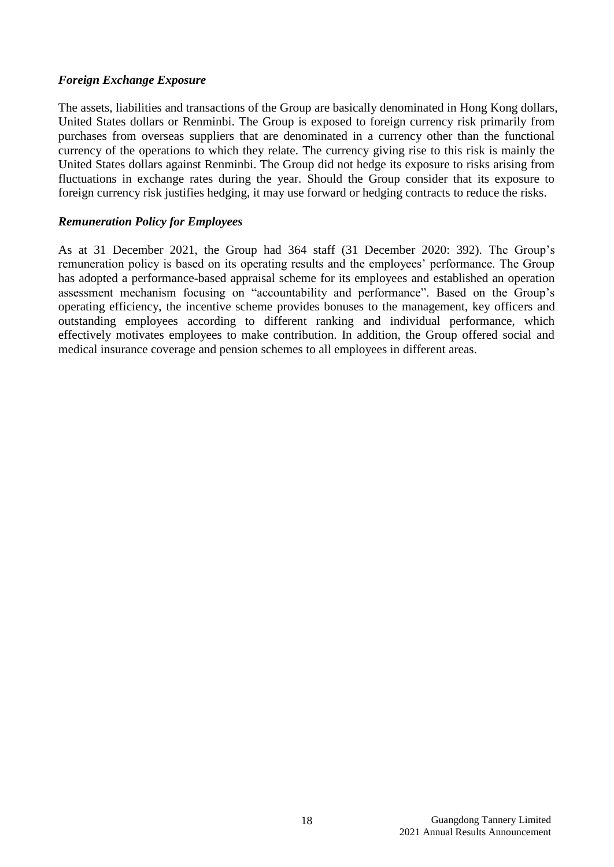# *Foreign Exchange Exposure*

The assets, liabilities and transactions of the Group are basically denominated in Hong Kong dollars, United States dollars or Renminbi. The Group is exposed to foreign currency risk primarily from purchases from overseas suppliers that are denominated in a currency other than the functional currency of the operations to which they relate. The currency giving rise to this risk is mainly the United States dollars against Renminbi. The Group did not hedge its exposure to risks arising from fluctuations in exchange rates during the year. Should the Group consider that its exposure to foreign currency risk justifies hedging, it may use forward or hedging contracts to reduce the risks.

## *Remuneration Policy for Employees*

As at 31 December 2021, the Group had 364 staff (31 December 2020: 392). The Group's remuneration policy is based on its operating results and the employees' performance. The Group has adopted a performance-based appraisal scheme for its employees and established an operation assessment mechanism focusing on "accountability and performance". Based on the Group's operating efficiency, the incentive scheme provides bonuses to the management, key officers and outstanding employees according to different ranking and individual performance, which effectively motivates employees to make contribution. In addition, the Group offered social and medical insurance coverage and pension schemes to all employees in different areas.